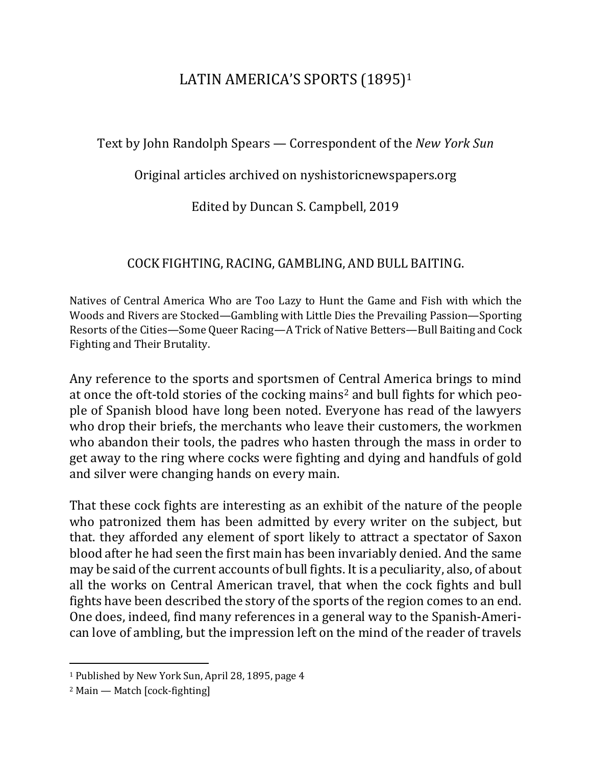# LATIN AMERICA'S SPORTS (1895)<sup>1</sup>

Text by John Randolph Spears — Correspondent of the *New York Sun* 

Original articles archived on nyshistoricnewspapers.org

Edited by Duncan S. Campbell, 2019

# COCK FIGHTING, RACING, GAMBLING, ANDBULL BAITING.

Natives of Central America Who are Too Lazy to Hunt the Game and Fish with which the Woods and Rivers are Stocked—Gambling with Little Dies the Prevailing Passion—Sporting Resorts of the Cities—Some Queer Racing—A Trick of Native Betters—Bull Baiting and Cock Fighting and Their Brutality.

Any reference to the sports and sportsmen of Central America brings to mind at once the oft-told stories of the cocking mains<sup>2</sup> and bull fights for which people of Spanish blood have long been noted. Everyone has read of the lawyers who drop their briefs, the merchants who leave their customers, the workmen who abandon their tools, the padres who hasten through the mass in order to get away to the ring where cocks were fighting and dying and handfuls of gold and silver were changing hands on every main.

That these cock fights are interesting as an exhibit of the nature of the people who patronized them has been admitted by every writer on the subject, but that. they afforded any element of sport likely to attract a spectator of Saxon blood after he had seen the first main has been invariably denied. And the same may be said of the current accounts of bull fights. It is a peculiarity, also, of about all the works on Central American travel, that when the cock fights and bull fights have been described the story of the sports of the region comes to an end. One does, indeed, find many references in a general way to the Spanish-American love of ambling, but the impression left on the mind of the reader of travels

 $\overline{a}$ 

<sup>&</sup>lt;sup>1</sup> Published by New York Sun, April 28, 1895, page 4

 $2$  Main — Match [cock-fighting]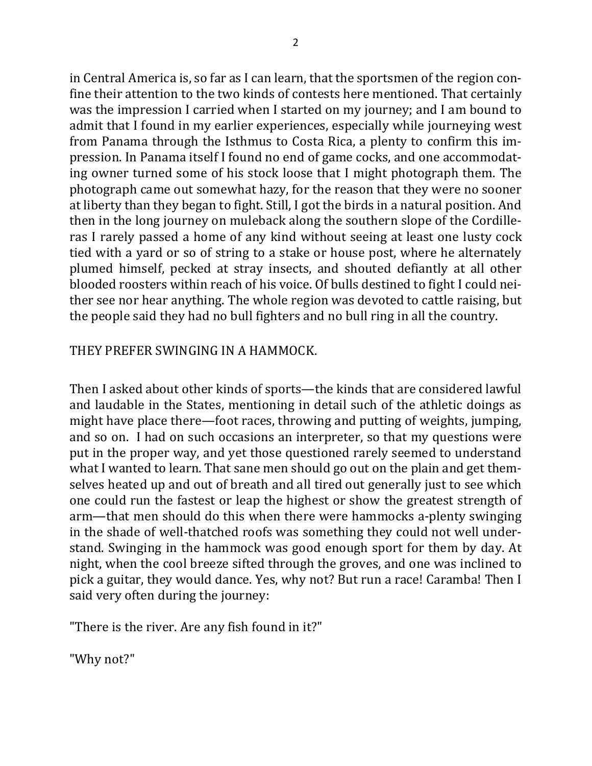in Central America is, so far as I can learn, that the sportsmen of the region confine their attention to the two kinds of contests here mentioned. That certainly was the impression I carried when I started on my journey; and I am bound to admit that I found in my earlier experiences, especially while journeying west from Panama through the Isthmus to Costa Rica, a plenty to confirm this impression. In Panama itself I found no end of game cocks, and one accommodating owner turned some of his stock loose that I might photograph them. The photograph came out somewhat hazy, for the reason that they were no sooner at liberty than they began to fight. Still, I got the birds in a natural position. And then in the long journey on muleback along the southern slope of the Cordilleras I rarely passed a home of any kind without seeing at least one lusty cock tied with a yard or so of string to a stake or house post, where he alternately plumed himself, pecked at stray insects, and shouted defiantly at all other blooded roosters within reach of his voice. Of bulls destined to fight I could neither see nor hear anything. The whole region was devoted to cattle raising, but the people said they had no bull fighters and no bull ring in all the country.

### THEY PREFER SWINGING IN A HAMMOCK.

Then I asked about other kinds of sports—the kinds that are considered lawful and laudable in the States, mentioning in detail such of the athletic doings as might have place there—foot races, throwing and putting of weights, jumping, and so on. I had on such occasions an interpreter, so that my questions were put in the proper way, and yet those questioned rarely seemed to understand what I wanted to learn. That sane men should go out on the plain and get themselves heated up and out of breath and all tired out generally just to see which one could run the fastest or leap the highest or show the greatest strength of arm—that men should do this when there were hammocks a-plenty swinging in the shade of well-thatched roofs was something they could not well understand. Swinging in the hammock was good enough sport for them by day. At night, when the cool breeze sifted through the groves, and one was inclined to pick a guitar, they would dance. Yes, why not? But run a race! Caramba! Then I said very often during the journey:

"There is the river. Are any fish found in it?"

"Why not?"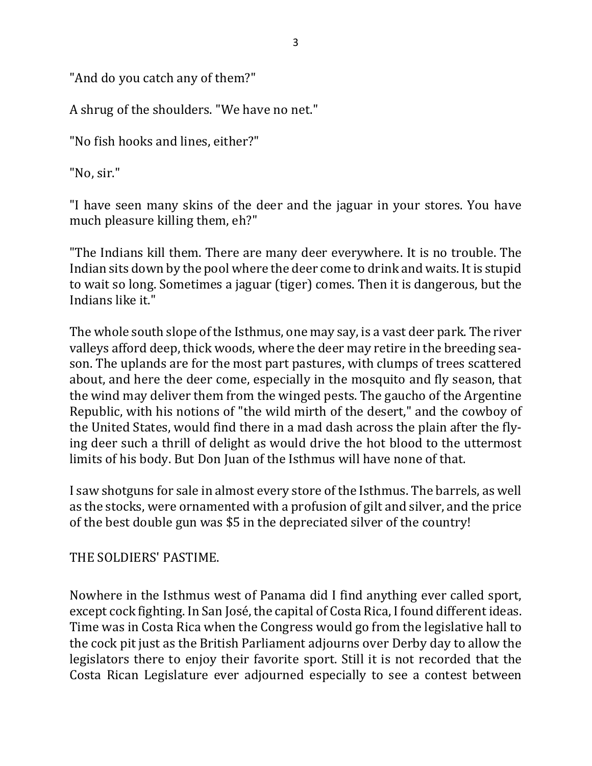"And do you catch any of them?"

A shrug of the shoulders. "We have no net."

"No fish hooks and lines, either?"

"No, sir."

"I have seen many skins of the deer and the jaguar in your stores. You have much pleasure killing them, eh?"

"The Indians kill them. There are many deer everywhere. It is no trouble. The Indian sits down by the pool where the deer come to drink and waits. It is stupid to wait so long. Sometimes a jaguar (tiger) comes. Then it is dangerous, but the Indians like it."

The whole south slope of the Isthmus, one may say, is a vast deer park. The river valleys afford deep, thick woods, where the deer may retire in the breeding season. The uplands are for the most part pastures, with clumps of trees scattered about, and here the deer come, especially in the mosquito and fly season, that the wind may deliver them from the winged pests. The gaucho of the Argentine Republic, with his notions of "the wild mirth of the desert," and the cowboy of the United States, would find there in a mad dash across the plain after the flying deer such a thrill of delight as would drive the hot blood to the uttermost limits of his body. But Don Juan of the Isthmus will have none of that.

I saw shotguns for sale in almost every store of the Isthmus. The barrels, as well as the stocks, were ornamented with a profusion of gilt and silver, and the price of the best double gun was \$5 in the depreciated silver of the country!

THE SOLDIERS' PASTIME.

Nowhere in the Isthmus west of Panama did I find anything ever called sport, except cock fighting. In San José, the capital of Costa Rica, I found different ideas. Time was in Costa Rica when the Congress would go from the legislative hall to the cock pit just as the British Parliament adjourns over Derby day to allow the legislators there to enjoy their favorite sport. Still it is not recorded that the Costa Rican Legislature ever adjourned especially to see a contest between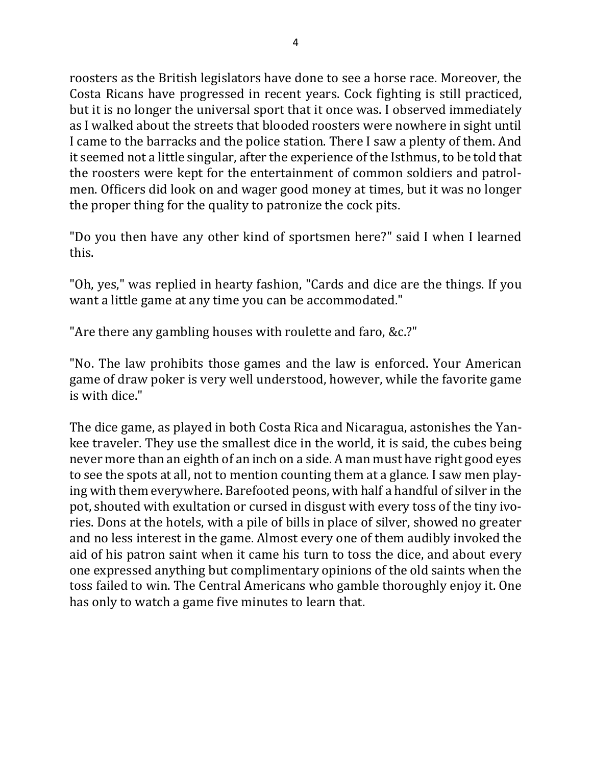roosters as the British legislators have done to see a horse race. Moreover, the Costa Ricans have progressed in recent years. Cock fighting is still practiced, but it is no longer the universal sport that it once was. I observed immediately as I walked about the streets that blooded roosters were nowhere in sight until I came to the barracks and the police station. There I saw a plenty of them. And it seemed not a little singular, after the experience of the Isthmus, to be told that the roosters were kept for the entertainment of common soldiers and patrolmen. Officers did look on and wager good money at times, but it was no longer the proper thing for the quality to patronize the cock pits.

"Do you then have any other kind of sportsmen here?" said I when I learned this.

"Oh, yes," was replied in hearty fashion, "Cards and dice are the things. If you want a little game at any time you can be accommodated."

"Are there any gambling houses with roulette and faro, &c.?"

"No. The law prohibits those games and the law is enforced. Your American game of draw poker is very well understood, however, while the favorite game is with dice."

The dice game, as played in both Costa Rica and Nicaragua, astonishes the Yankee traveler. They use the smallest dice in the world, it is said, the cubes being never more than an eighth of an inch on a side. A man must have right good eyes to see the spots at all, not to mention counting them at a glance. I saw men playing with them everywhere. Barefooted peons, with half a handful of silver in the pot, shouted with exultation or cursed in disgust with every toss of the tiny ivories. Dons at the hotels, with a pile of bills in place of silver, showed no greater and no less interest in the game. Almost every one of them audibly invoked the aid of his patron saint when it came his turn to toss the dice, and about every one expressed anything but complimentary opinions of the old saints when the toss failed to win. The Central Americans who gamble thoroughly enjoy it. One has only to watch a game five minutes to learn that.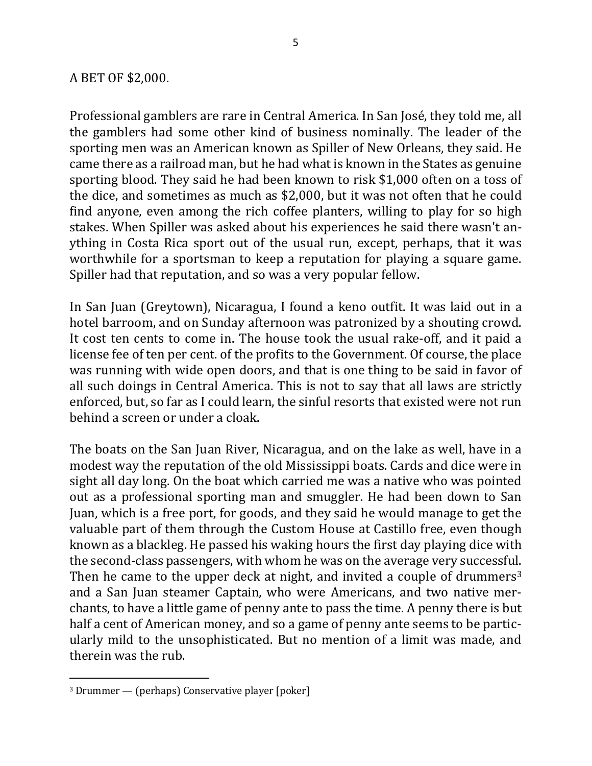#### A BET OF \$2,000.

Professional gamblers are rare in Central America. In San José, they told me, all the gamblers had some other kind of business nominally. The leader of the sporting men was an American known as Spiller of New Orleans, they said. He came there as a railroad man, but he had what is known in the States as genuine sporting blood. They said he had been known to risk \$1,000 often on a toss of the dice, and sometimes as much as \$2,000, but it was not often that he could find anyone, even among the rich coffee planters, willing to play for so high stakes. When Spiller was asked about his experiences he said there wasn't anything in Costa Rica sport out of the usual run, except, perhaps, that it was worthwhile for a sportsman to keep a reputation for playing a square game. Spiller had that reputation, and so was a very popular fellow.

In San Juan (Greytown), Nicaragua, I found a keno outfit. It was laid out in a hotel barroom, and on Sunday afternoon was patronized by a shouting crowd. It cost ten cents to come in. The house took the usual rake-off, and it paid a license fee of ten per cent. of the profits to the Government. Of course, the place was running with wide open doors, and that is one thing to be said in favor of all such doings in Central America. This is not to say that all laws are strictly enforced, but, so far as I could learn, the sinful resorts that existed were not run behind a screen or under a cloak.

The boats on the San Juan River, Nicaragua, and on the lake as well, have in a modest way the reputation of the old Mississippi boats. Cards and dice were in sight all day long. On the boat which carried me was a native who was pointed out as a professional sporting man and smuggler. He had been down to San Juan, which is a free port, for goods, and they said he would manage to get the valuable part of them through the Custom House at Castillo free, even though known as a blackleg. He passed his waking hours the first day playing dice with the second-class passengers, with whom he was on the average very successful. Then he came to the upper deck at night, and invited a couple of drummers<sup>3</sup> and a San Juan steamer Captain, who were Americans, and two native merchants, to have a little game of penny ante to pass the time. A penny there is but half a cent of American money, and so a game of penny ante seems to be particularly mild to the unsophisticated. But no mention of a limit was made, and therein was the rub.

 $\overline{a}$ 

 $3$  Drummer — (perhaps) Conservative player [poker]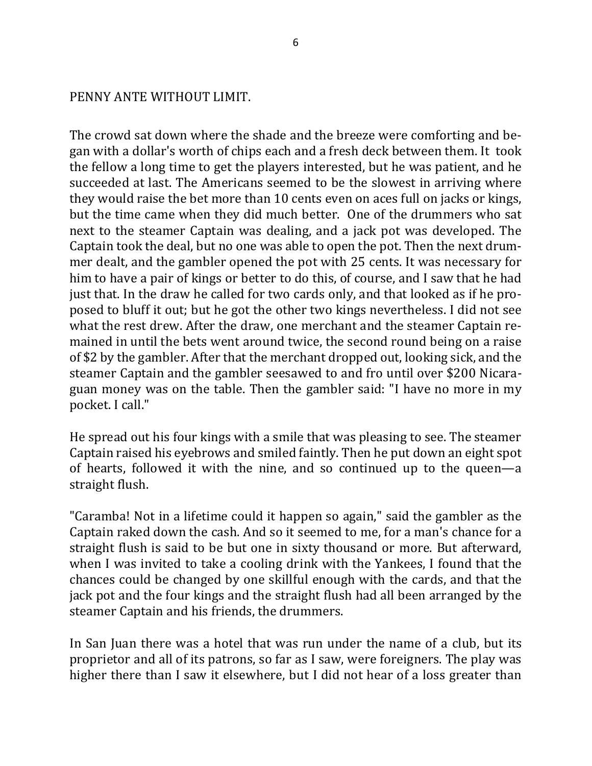PENNY ANTE WITHOUT LIMIT.

The crowd sat down where the shade and the breeze were comforting and began with a dollar's worth of chips each and a fresh deck between them. It took the fellow a long time to get the players interested, but he was patient, and he succeeded at last. The Americans seemed to be the slowest in arriving where they would raise the bet more than 10 cents even on aces full on jacks or kings, but the time came when they did much better. One of the drummers who sat next to the steamer Captain was dealing, and a jack pot was developed. The Captain took the deal, but no one was able to open the pot. Then the next drummer dealt, and the gambler opened the pot with 25 cents. It was necessary for him to have a pair of kings or better to do this, of course, and I saw that he had just that. In the draw he called for two cards only, and that looked as if he proposed to bluff it out; but he got the other two kings nevertheless. I did not see what the rest drew. After the draw, one merchant and the steamer Captain remained in until the bets went around twice, the second round being on a raise of \$2 by the gambler. After that the merchant dropped out, looking sick, and the steamer Captain and the gambler seesawed to and fro until over \$200 Nicaraguan money was on the table. Then the gambler said: "I have no more in my pocket. I call."

He spread out his four kings with a smile that was pleasing to see. The steamer Captain raised his eyebrows and smiled faintly. Then he put down an eight spot of hearts, followed it with the nine, and so continued up to the queen—a straight flush.

"Caramba! Not in a lifetime could it happen so again," said the gambler as the Captain raked down the cash. And so it seemed to me, for a man's chance for a straight flush is said to be but one in sixty thousand or more. But afterward, when I was invited to take a cooling drink with the Yankees, I found that the chances could be changed by one skillful enough with the cards, and that the jack pot and the four kings and the straight flush had all been arranged by the steamer Captain and his friends, the drummers.

In San Juan there was a hotel that was run under the name of a club, but its proprietor and all of its patrons, so far as I saw, were foreigners. The play was higher there than I saw it elsewhere, but I did not hear of a loss greater than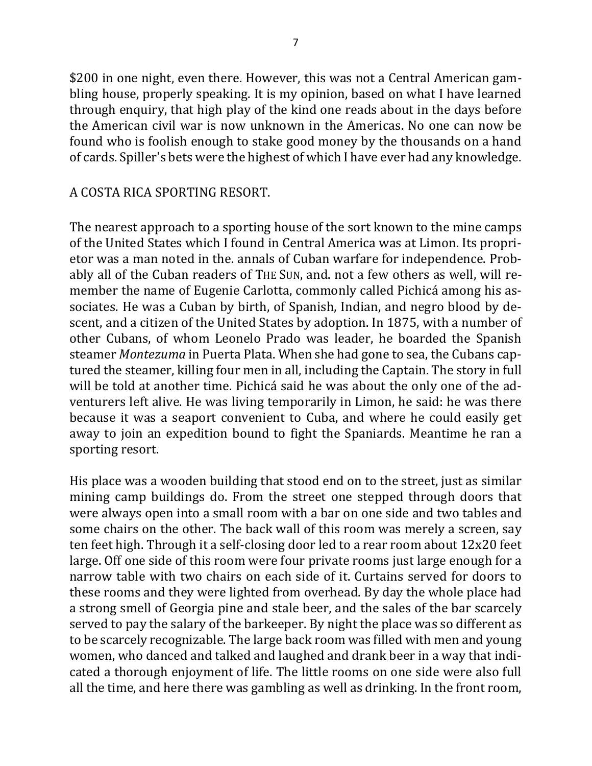\$200 in one night, even there. However, this was not a Central American gambling house, properly speaking. It is my opinion, based on what I have learned through enquiry, that high play of the kind one reads about in the days before the American civil war is now unknown in the Americas. No one can now be found who is foolish enough to stake good money by the thousands on a hand of cards. Spiller's bets were the highest of which I have ever had any knowledge.

### A COSTA RICA SPORTING RESORT.

The nearest approach to a sporting house of the sort known to the mine camps of the United States which I found in Central America was at Limon. Its proprietor was a man noted in the. annals of Cuban warfare for independence. Probably all of the Cuban readers of THE SUN, and. not a few others as well, will remember the name of Eugenie Carlotta, commonly called Pichicá among his associates. He was a Cuban by birth, of Spanish, Indian, and negro blood by descent, and a citizen of the United States by adoption. In 1875, with a number of other Cubans, of whom Leonelo Prado was leader, he boarded the Spanish steamer *Montezuma* in Puerta Plata. When she had gone to sea, the Cubans captured the steamer, killing four men in all, including the Captain. The story in full will be told at another time. Pichicá said he was about the only one of the adventurers left alive. He was living temporarily in Limon, he said: he was there because it was a seaport convenient to Cuba, and where he could easily get away to join an expedition bound to fight the Spaniards. Meantime he ran a sporting resort.

His place was a wooden building that stood end on to the street, just as similar mining camp buildings do. From the street one stepped through doors that were always open into a small room with a bar on one side and two tables and some chairs on the other. The back wall of this room was merely a screen, say ten feet high. Through it a self-closing door led to a rear room about 12x20 feet large. Off one side of this room were four private rooms just large enough for a narrow table with two chairs on each side of it. Curtains served for doors to these rooms and they were lighted from overhead. By day the whole place had a strong smell of Georgia pine and stale beer, and the sales of the bar scarcely served to pay the salary of the barkeeper. By night the place was so different as to be scarcely recognizable. The large back room was filled with men and young women, who danced and talked and laughed and drank beer in a way that indicated a thorough enjoyment of life. The little rooms on one side were also full all the time, and here there was gambling as well as drinking. In the front room,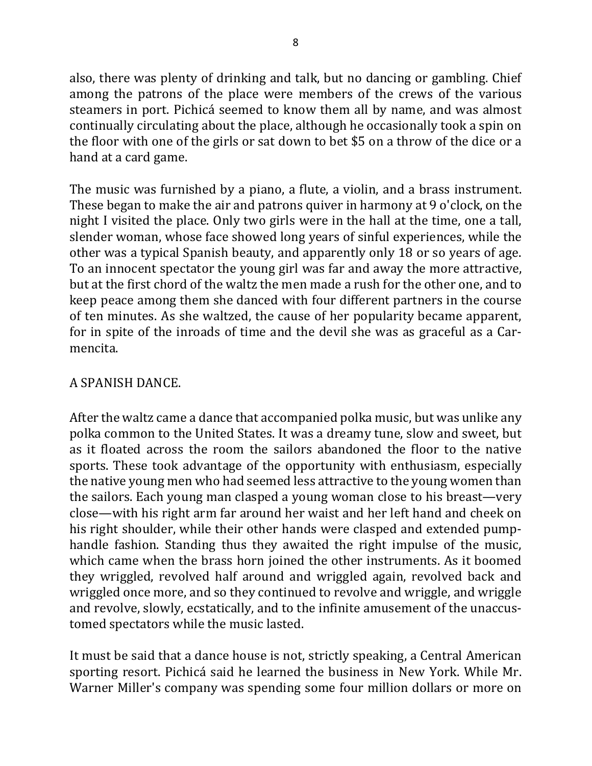also, there was plenty of drinking and talk, but no dancing or gambling. Chief among the patrons of the place were members of the crews of the various steamers in port. Pichicá seemed to know them all by name, and was almost continually circulating about the place, although he occasionally took a spin on the floor with one of the girls or sat down to bet \$5 on a throw of the dice or a hand at a card game.

The music was furnished by a piano, a flute, a violin, and a brass instrument. These began to make the air and patrons quiver in harmony at 9 o'clock, on the night I visited the place. Only two girls were in the hall at the time, one a tall, slender woman, whose face showed long years of sinful experiences, while the other was a typical Spanish beauty, and apparently only 18 or so years of age. To an innocent spectator the young girl was far and away the more attractive, but at the first chord of the waltz the men made a rush for the other one, and to keep peace among them she danced with four different partners in the course of ten minutes. As she waltzed, the cause of her popularity became apparent, for in spite of the inroads of time and the devil she was as graceful as a Carmencita.

# A SPANISH DANCE.

After the waltz came a dance that accompanied polka music, but was unlike any polka common to the United States. It was a dreamy tune, slow and sweet, but as it floated across the room the sailors abandoned the floor to the native sports. These took advantage of the opportunity with enthusiasm, especially the native young men who had seemed less attractive to the young women than the sailors. Each young man clasped a young woman close to his breast—very close—with his right arm far around her waist and her left hand and cheek on his right shoulder, while their other hands were clasped and extended pumphandle fashion. Standing thus they awaited the right impulse of the music, which came when the brass horn joined the other instruments. As it boomed they wriggled, revolved half around and wriggled again, revolved back and wriggled once more, and so they continued to revolve and wriggle, and wriggle and revolve, slowly, ecstatically, and to the infinite amusement of the unaccustomed spectators while the music lasted.

It must be said that a dance house is not, strictly speaking, a Central American sporting resort. Pichicá said he learned the business in New York. While Mr. Warner Miller's company was spending some four million dollars or more on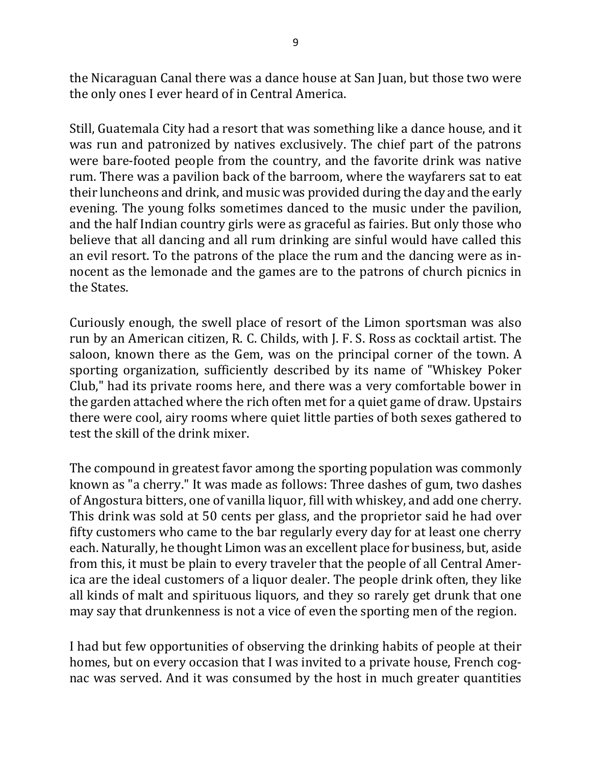the Nicaraguan Canal there was a dance house at San Juan, but those two were the only ones I ever heard of in Central America.

Still, Guatemala City had a resort that was something like a dance house, and it was run and patronized by natives exclusively. The chief part of the patrons were bare-footed people from the country, and the favorite drink was native rum. There was a pavilion back of the barroom, where the wayfarers sat to eat their luncheons and drink, and music was provided during the day and the early evening. The young folks sometimes danced to the music under the pavilion, and the half Indian country girls were as graceful as fairies. But only those who believe that all dancing and all rum drinking are sinful would have called this an evil resort. To the patrons of the place the rum and the dancing were as innocent as the lemonade and the games are to the patrons of church picnics in the States.

Curiously enough, the swell place of resort of the Limon sportsman was also run by an American citizen, R. C. Childs, with J. F. S. Ross as cocktail artist. The saloon, known there as the Gem, was on the principal corner of the town. A sporting organization, sufficiently described by its name of "Whiskey Poker Club," had its private rooms here, and there was a very comfortable bower in the garden attached where the rich often met for a quiet game of draw. Upstairs there were cool, airy rooms where quiet little parties of both sexes gathered to test the skill of the drink mixer.

The compound in greatest favor among the sporting population was commonly known as "a cherry." It was made as follows: Three dashes of gum, two dashes of Angostura bitters, one of vanilla liquor, fill with whiskey, and add one cherry. This drink was sold at 50 cents per glass, and the proprietor said he had over fifty customers who came to the bar regularly every day for at least one cherry each. Naturally, he thought Limon was an excellent place for business, but, aside from this, it must be plain to every traveler that the people of all Central America are the ideal customers of a liquor dealer. The people drink often, they like all kinds of malt and spirituous liquors, and they so rarely get drunk that one may say that drunkenness is not a vice of even the sporting men of the region.

I had but few opportunities of observing the drinking habits of people at their homes, but on every occasion that I was invited to a private house, French cognac was served. And it was consumed by the host in much greater quantities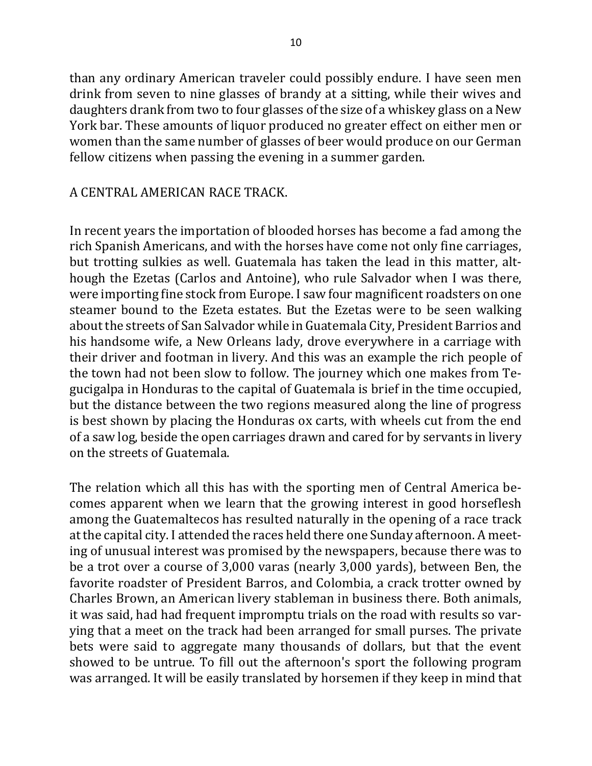than any ordinary American traveler could possibly endure. I have seen men drink from seven to nine glasses of brandy at a sitting, while their wives and daughters drank from two to four glasses of the size of a whiskey glass on a New York bar. These amounts of liquor produced no greater effect on either men or women than the same number of glasses of beer would produce on our German fellow citizens when passing the evening in a summer garden.

### A CENTRAL AMERICAN RACE TRACK.

In recent years the importation of blooded horses has become a fad among the rich Spanish Americans, and with the horses have come not only fine carriages, but trotting sulkies as well. Guatemala has taken the lead in this matter, although the Ezetas (Carlos and Antoine), who rule Salvador when I was there, were importing fine stock from Europe. I saw four magnificent roadsters on one steamer bound to the Ezeta estates. But the Ezetas were to be seen walking about the streets of San Salvador while in Guatemala City, President Barrios and his handsome wife, a New Orleans lady, drove everywhere in a carriage with their driver and footman in livery. And this was an example the rich people of the town had not been slow to follow. The journey which one makes from Tegucigalpa in Honduras to the capital of Guatemala is brief in the time occupied, but the distance between the two regions measured along the line of progress is best shown by placing the Honduras ox carts, with wheels cut from the end of a saw log, beside the open carriages drawn and cared for by servants in livery on the streets of Guatemala.

The relation which all this has with the sporting men of Central America becomes apparent when we learn that the growing interest in good horseflesh among the Guatemaltecos has resulted naturally in the opening of a race track at the capital city. I attended the races held there one Sunday afternoon. A meeting of unusual interest was promised by the newspapers, because there was to be a trot over a course of 3,000 varas (nearly 3,000 yards), between Ben, the favorite roadster of President Barros, and Colombia, a crack trotter owned by Charles Brown, an American livery stableman in business there. Both animals, it was said, had had frequent impromptu trials on the road with results so varying that a meet on the track had been arranged for small purses. The private bets were said to aggregate many thousands of dollars, but that the event showed to be untrue. To fill out the afternoon's sport the following program was arranged. It will be easily translated by horsemen if they keep in mind that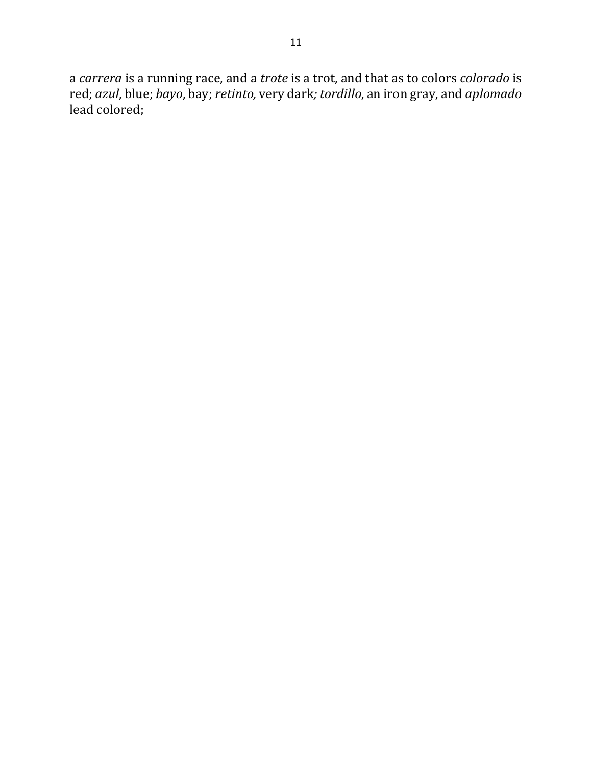a *carrera* is a running race, and a *trote* is a trot, and that as to colors *colorado* is red; *azul*, blue; *bayo*, bay; *retinto,* very dark*; tordillo*, an iron gray, and *aplomado* lead colored;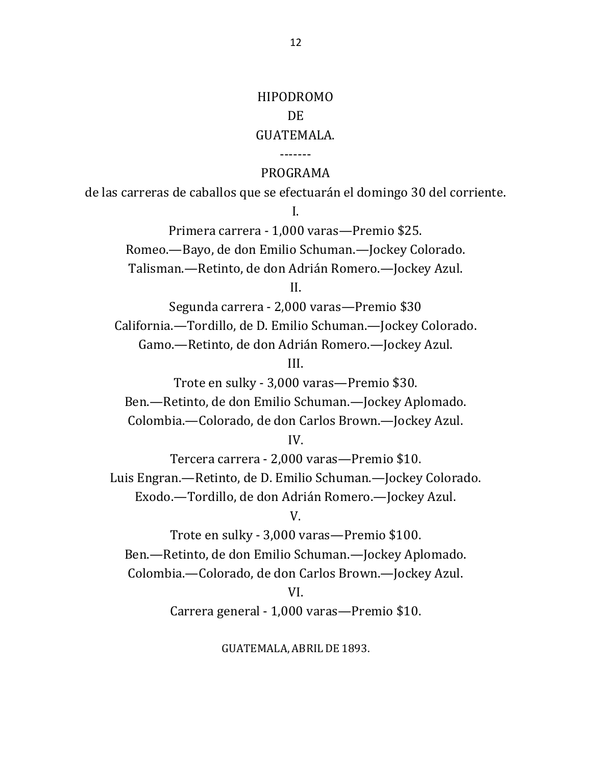# HIPODROMO DE GUATEMALA.

#### PROGRAMA

-------

de las carreras de caballos que se efectuarán el domingo 30 del corriente.

I.

Primera carrera - 1,000 varas—Premio \$25. Romeo.—Bayo, de don Emilio Schuman.—Jockey Colorado. Talisman.—Retinto, de don Adrián Romero.—Jockey Azul.

II.

Segunda carrera - 2,000 varas—Premio \$30 California.—Tordillo, de D. Emilio Schuman.—Jockey Colorado. Gamo.—Retinto, de don Adrián Romero.—Jockey Azul.

III.

Trote en sulky - 3,000 varas—Premio \$30. Ben.—Retinto, de don Emilio Schuman.—Jockey Aplomado. Colombia.-Colorado, de don Carlos Brown.-Jockey Azul. IV.

Tercera carrera - 2,000 varas—Premio \$10. Luis Engran.—Retinto, de D. Emilio Schuman.—Jockey Colorado. Exodo.—Tordillo, de don Adrián Romero.—Jockey Azul.

V.

Trote en sulky - 3,000 varas—Premio \$100. Ben.-Retinto, de don Emilio Schuman.-Jockey Aplomado. Colombia.—Colorado, de don Carlos Brown.—Jockey Azul. VI.

Carrera general - 1,000 varas—Premio \$10.

GUATEMALA, ABRIL DE 1893.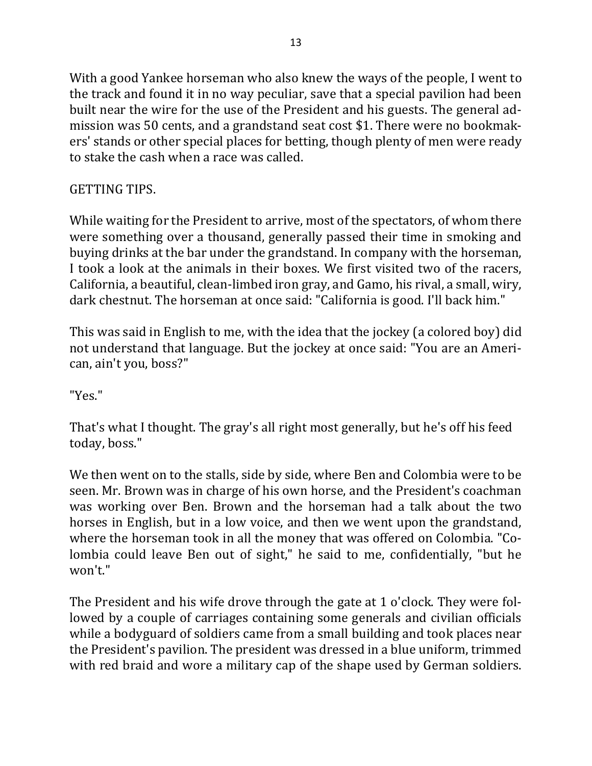With a good Yankee horseman who also knew the ways of the people, I went to the track and found it in no way peculiar, save that a special pavilion had been built near the wire for the use of the President and his guests. The general admission was 50 cents, and a grandstand seat cost \$1. There were no bookmakers' stands or other special places for betting, though plenty of men were ready to stake the cash when a race was called.

# GETTING TIPS.

While waiting for the President to arrive, most of the spectators, of whom there were something over a thousand, generally passed their time in smoking and buying drinks at the bar under the grandstand. In company with the horseman, I took a look at the animals in their boxes. We first visited two of the racers, California, a beautiful, clean-limbed iron gray, and Gamo, his rival, a small, wiry, dark chestnut. The horseman at once said: "California is good. I'll back him."

This was said in English to me, with the idea that the jockey (a colored boy) did not understand that language. But the jockey at once said: "You are an American, ain't you, boss?"

"Yes."

That's what I thought. The gray's all right most generally, but he's off his feed today, boss."

We then went on to the stalls, side by side, where Ben and Colombia were to be seen. Mr. Brown was in charge of his own horse, and the President's coachman was working over Ben. Brown and the horseman had a talk about the two horses in English, but in a low voice, and then we went upon the grandstand, where the horseman took in all the money that was offered on Colombia. "Colombia could leave Ben out of sight," he said to me, confidentially, "but he won't."

The President and his wife drove through the gate at 1 o'clock. They were followed by a couple of carriages containing some generals and civilian officials while a bodyguard of soldiers came from a small building and took places near the President's pavilion. The president was dressed in a blue uniform, trimmed with red braid and wore a military cap of the shape used by German soldiers.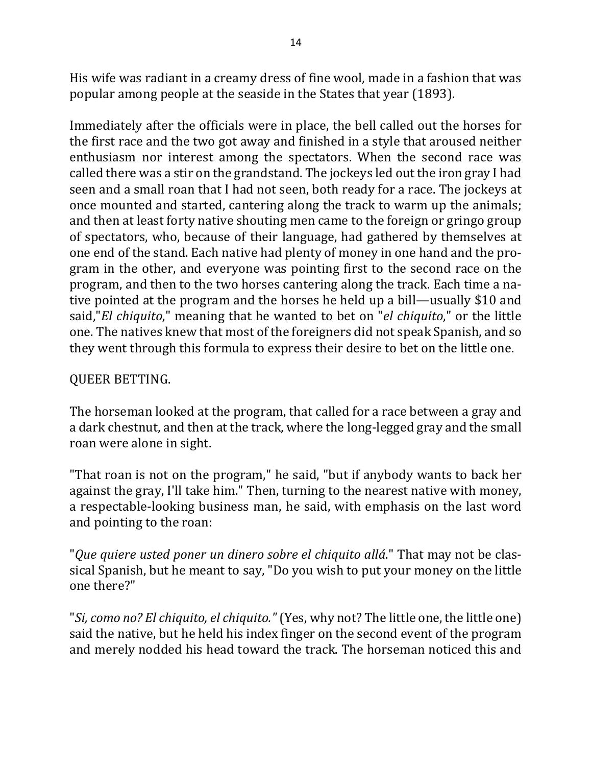His wife was radiant in a creamy dress of fine wool, made in a fashion that was popular among people at the seaside in the States that year (1893).

Immediately after the officials were in place, the bell called out the horses for the first race and the two got away and finished in a style that aroused neither enthusiasm nor interest among the spectators. When the second race was called there was a stir on the grandstand. The jockeys led out the iron gray I had seen and a small roan that I had not seen, both ready for a race. The jockeys at once mounted and started, cantering along the track to warm up the animals; and then at least forty native shouting men came to the foreign or gringo group of spectators, who, because of their language, had gathered by themselves at one end of the stand. Each native had plenty of money in one hand and the program in the other, and everyone was pointing first to the second race on the program, and then to the two horses cantering along the track. Each time a native pointed at the program and the horses he held up a bill—usually \$10 and said,"*El* chiquito," meaning that he wanted to bet on "*el chiquito*," or the little one. The natives knew that most of the foreigners did not speak Spanish, and so they went through this formula to express their desire to bet on the little one.

# QUEER BETTING.

The horseman looked at the program, that called for a race between a gray and a dark chestnut, and then at the track, where the long-legged gray and the small roan were alone in sight.

"That roan is not on the program," he said, "but if anybody wants to back her against the gray, I'll take him." Then, turning to the nearest native with money, a respectable-looking business man, he said, with emphasis on the last word and pointing to the roan:

"*Que quiere usted poner un dinero sobre el chiquito allá*." That may not be classical Spanish, but he meant to say, "Do you wish to put your money on the little one there?"

"*Si, como no? El chiquito, el chiquito."* (Yes, why not? The little one, the little one) said the native, but he held his index finger on the second event of the program and merely nodded his head toward the track. The horseman noticed this and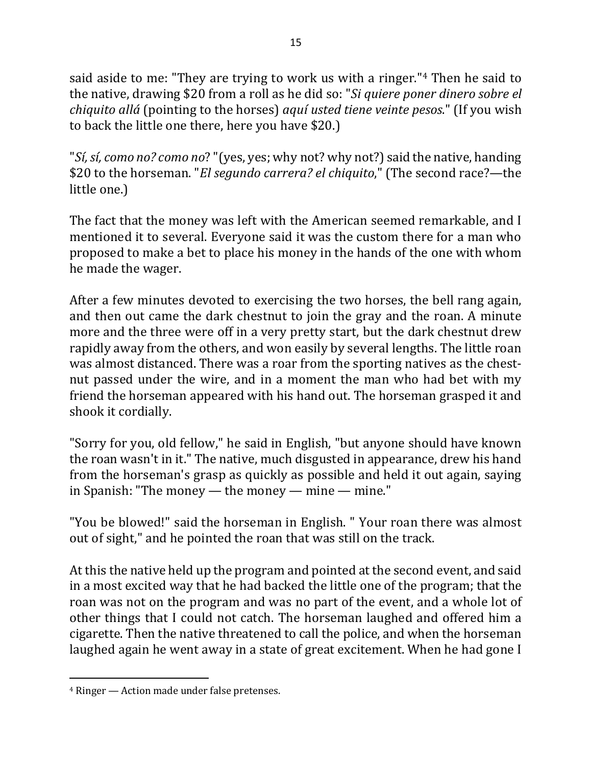said aside to me: "They are trying to work us with a ringer."<sup>4</sup> Then he said to the native, drawing \$20 from a roll as he did so: "*Si quiere poner dinero sobre el chiquito allá* (pointing to the horses) *aquí usted tiene veinte pesos*." (If you wish to back the little one there, here you have \$20.)

"*Sí, sí, como no? como no?* "(yes, yes; why not? why not?) said the native, handing \$20 to the horseman. "*El segundo carrera? el chiquito*," (The second race?—the little one.)

The fact that the money was left with the American seemed remarkable, and I mentioned it to several. Everyone said it was the custom there for a man who proposed to make a bet to place his money in the hands of the one with whom he made the wager.

After a few minutes devoted to exercising the two horses, the bell rang again, and then out came the dark chestnut to join the gray and the roan. A minute more and the three were off in a very pretty start, but the dark chestnut drew rapidly away from the others, and won easily by several lengths. The little roan was almost distanced. There was a roar from the sporting natives as the chestnut passed under the wire, and in a moment the man who had bet with my friend the horseman appeared with his hand out. The horseman grasped it and shook it cordially.

"Sorry for you, old fellow," he said in English, "but anyone should have known the roan wasn't in it." The native, much disgusted in appearance, drew his hand from the horseman's grasp as quickly as possible and held it out again, saying in Spanish: "The money — the money — mine — mine."

"You be blowed!" said the horseman in English. " Your roan there was almost out of sight," and he pointed the roan that was still on the track.

At this the native held up the program and pointed at the second event, and said in a most excited way that he had backed the little one of the program; that the roan was not on the program and was no part of the event, and a whole lot of other things that I could not catch. The horseman laughed and offered him a cigarette. Then the native threatened to call the police, and when the horseman laughed again he went away in a state of great excitement. When he had gone I

 $\overline{a}$ 

 $4$  Ringer  $-$  Action made under false pretenses.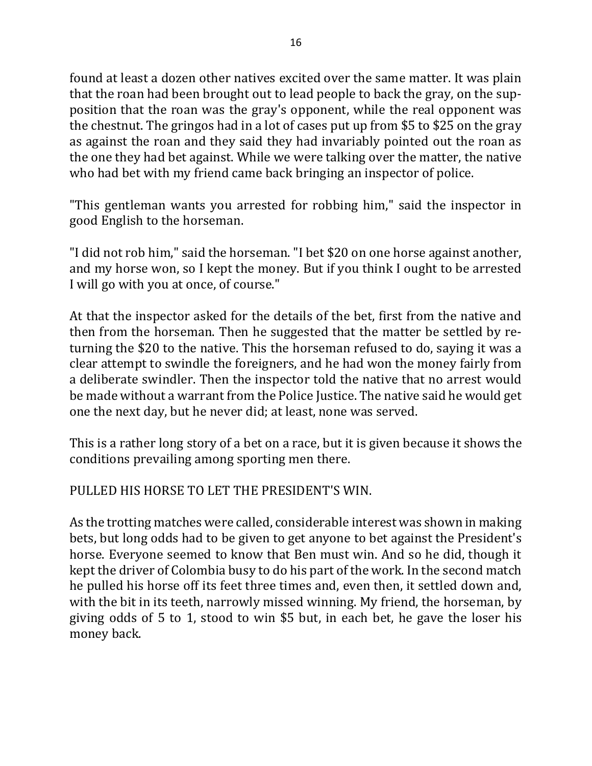found at least a dozen other natives excited over the same matter. It was plain that the roan had been brought out to lead people to back the gray, on the supposition that the roan was the gray's opponent, while the real opponent was the chestnut. The gringos had in a lot of cases put up from \$5 to \$25 on the gray as against the roan and they said they had invariably pointed out the roan as the one they had bet against. While we were talking over the matter, the native who had bet with my friend came back bringing an inspector of police.

"This gentleman wants you arrested for robbing him," said the inspector in good English to the horseman.

"I did not rob him," said the horseman. "I bet \$20 on one horse against another, and my horse won, so I kept the money. But if you think I ought to be arrested I will go with you at once, of course."

At that the inspector asked for the details of the bet, first from the native and then from the horseman. Then he suggested that the matter be settled by returning the \$20 to the native. This the horseman refused to do, saying it was a clear attempt to swindle the foreigners, and he had won the money fairly from a deliberate swindler. Then the inspector told the native that no arrest would be made without a warrant from the Police Justice. The native said he would get one the next day, but he never did; at least, none was served.

This is a rather long story of a bet on a race, but it is given because it shows the conditions prevailing among sporting men there.

PULLED HIS HORSE TO LET THE PRESIDENT'S WIN.

As the trotting matches were called, considerable interest was shown in making bets, but long odds had to be given to get anyone to bet against the President's horse. Everyone seemed to know that Ben must win. And so he did, though it kept the driver of Colombia busy to do his part of the work. In the second match he pulled his horse off its feet three times and, even then, it settled down and, with the bit in its teeth, narrowly missed winning. My friend, the horseman, by giving odds of 5 to 1, stood to win \$5 but, in each bet, he gave the loser his money back.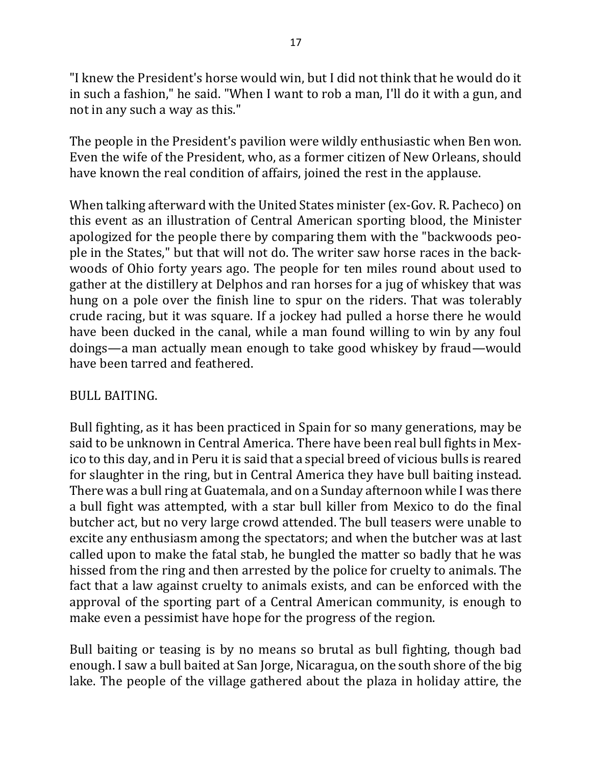"I knew the President's horse would win, but I did not think that he would do it in such a fashion," he said. "When I want to rob a man, I'll do it with a gun, and not in any such a way as this."

The people in the President's pavilion were wildly enthusiastic when Ben won. Even the wife of the President, who, as a former citizen of New Orleans, should have known the real condition of affairs, joined the rest in the applause.

When talking afterward with the United States minister (ex-Gov. R. Pacheco) on this event as an illustration of Central American sporting blood, the Minister apologized for the people there by comparing them with the "backwoods people in the States," but that will not do. The writer saw horse races in the backwoods of Ohio forty years ago. The people for ten miles round about used to gather at the distillery at Delphos and ran horses for a jug of whiskey that was hung on a pole over the finish line to spur on the riders. That was tolerably crude racing, but it was square. If a jockey had pulled a horse there he would have been ducked in the canal, while a man found willing to win by any foul doings—a man actually mean enough to take good whiskey by fraud—would have been tarred and feathered.

### BULL BAITING.

Bull fighting, as it has been practiced in Spain for so many generations, may be said to be unknown in Central America. There have been real bull fights in Mexico to this day, and in Peru it is said that a special breed of vicious bulls is reared for slaughter in the ring, but in Central America they have bull baiting instead. There was a bull ring at Guatemala, and on a Sunday afternoon while I was there a bull fight was attempted, with a star bull killer from Mexico to do the final butcher act, but no very large crowd attended. The bull teasers were unable to excite any enthusiasm among the spectators; and when the butcher was at last called upon to make the fatal stab, he bungled the matter so badly that he was hissed from the ring and then arrested by the police for cruelty to animals. The fact that a law against cruelty to animals exists, and can be enforced with the approval of the sporting part of a Central American community, is enough to make even a pessimist have hope for the progress of the region.

Bull baiting or teasing is by no means so brutal as bull fighting, though bad enough. I saw a bull baited at San Jorge, Nicaragua, on the south shore of the big lake. The people of the village gathered about the plaza in holiday attire, the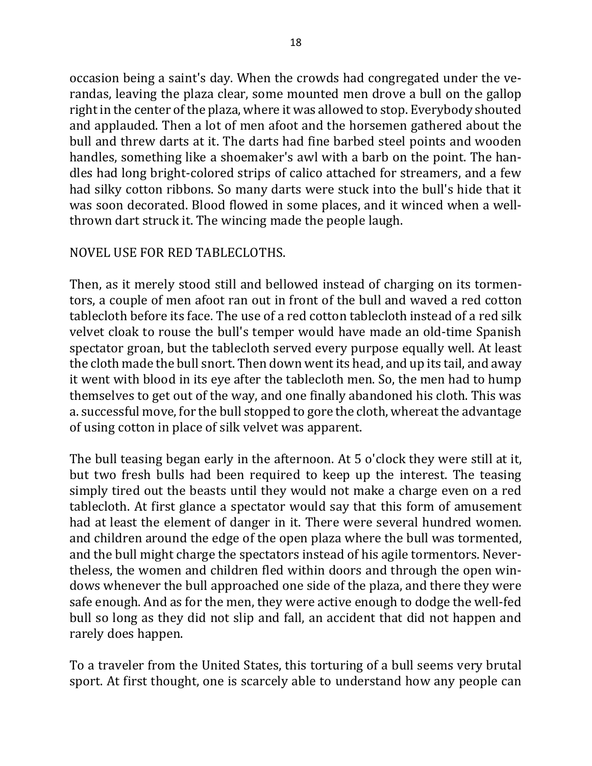occasion being a saint's day. When the crowds had congregated under the verandas, leaving the plaza clear, some mounted men drove a bull on the gallop right in the center of the plaza, where it was allowed to stop. Everybody shouted and applauded. Then a lot of men afoot and the horsemen gathered about the bull and threw darts at it. The darts had fine barbed steel points and wooden handles, something like a shoemaker's awl with a barb on the point. The handles had long bright-colored strips of calico attached for streamers, and a few had silky cotton ribbons. So many darts were stuck into the bull's hide that it was soon decorated. Blood flowed in some places, and it winced when a wellthrown dart struck it. The wincing made the people laugh.

### NOVEL USE FOR RED TABLECLOTHS.

Then, as it merely stood still and bellowed instead of charging on its tormentors, a couple of men afoot ran out in front of the bull and waved a red cotton tablecloth before its face. The use of a red cotton tablecloth instead of a red silk velvet cloak to rouse the bull's temper would have made an old-time Spanish spectator groan, but the tablecloth served every purpose equally well. At least the cloth made the bull snort. Then down went its head, and up its tail, and away it went with blood in its eye after the tablecloth men. So, the men had to hump themselves to get out of the way, and one finally abandoned his cloth. This was a. successful move, for the bull stopped to gore the cloth, whereat the advantage of using cotton in place of silk velvet was apparent.

The bull teasing began early in the afternoon. At 5 o'clock they were still at it, but two fresh bulls had been required to keep up the interest. The teasing simply tired out the beasts until they would not make a charge even on a red tablecloth. At first glance a spectator would say that this form of amusement had at least the element of danger in it. There were several hundred women. and children around the edge of the open plaza where the bull was tormented, and the bull might charge the spectators instead of his agile tormentors. Nevertheless, the women and children fled within doors and through the open windows whenever the bull approached one side of the plaza, and there they were safe enough. And as for the men, they were active enough to dodge the well-fed bull so long as they did not slip and fall, an accident that did not happen and rarely does happen.

To a traveler from the United States, this torturing of a bull seems very brutal sport. At first thought, one is scarcely able to understand how any people can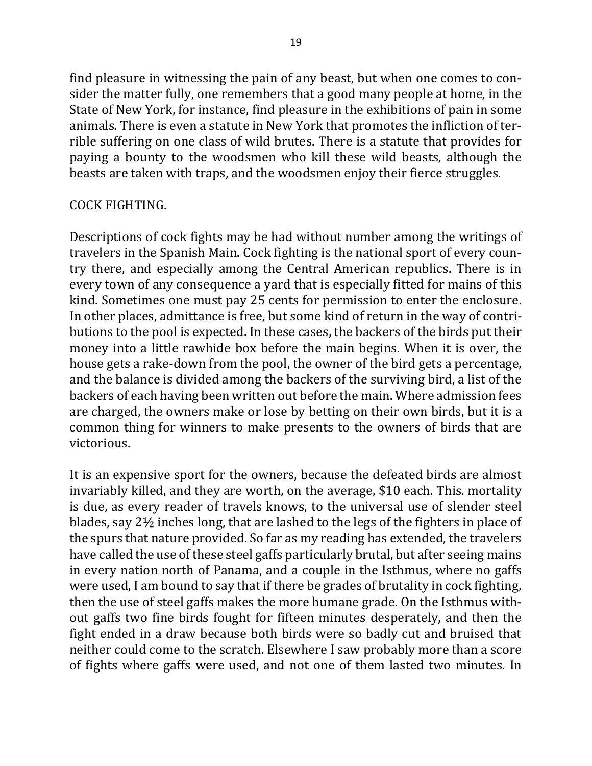find pleasure in witnessing the pain of any beast, but when one comes to consider the matter fully, one remembers that a good many people at home, in the State of New York, for instance, find pleasure in the exhibitions of pain in some animals. There is even a statute in New York that promotes the infliction of terrible suffering on one class of wild brutes. There is a statute that provides for paying a bounty to the woodsmen who kill these wild beasts, although the beasts are taken with traps, and the woodsmen enjoy their fierce struggles.

### COCK FIGHTING.

Descriptions of cock fights may be had without number among the writings of travelers in the Spanish Main. Cock fighting is the national sport of every country there, and especially among the Central American republics. There is in every town of any consequence a yard that is especially fitted for mains of this kind. Sometimes one must pay 25 cents for permission to enter the enclosure. In other places, admittance is free, but some kind of return in the way of contributions to the pool is expected. In these cases, the backers of the birds put their money into a little rawhide box before the main begins. When it is over, the house gets a rake-down from the pool, the owner of the bird gets a percentage, and the balance is divided among the backers of the surviving bird, a list of the backers of each having been written out before the main. Where admission fees are charged, the owners make or lose by betting on their own birds, but it is a common thing for winners to make presents to the owners of birds that are victorious.

It is an expensive sport for the owners, because the defeated birds are almost invariably killed, and they are worth, on the average, \$10 each. This. mortality is due, as every reader of travels knows, to the universal use of slender steel blades, say  $2\frac{1}{2}$  inches long, that are lashed to the legs of the fighters in place of the spurs that nature provided. So far as my reading has extended, the travelers have called the use of these steel gaffs particularly brutal, but after seeing mains in every nation north of Panama, and a couple in the Isthmus, where no gaffs were used, I am bound to say that if there be grades of brutality in cock fighting, then the use of steel gaffs makes the more humane grade. On the Isthmus without gaffs two fine birds fought for fifteen minutes desperately, and then the fight ended in a draw because both birds were so badly cut and bruised that neither could come to the scratch. Elsewhere I saw probably more than a score of fights where gaffs were used, and not one of them lasted two minutes. In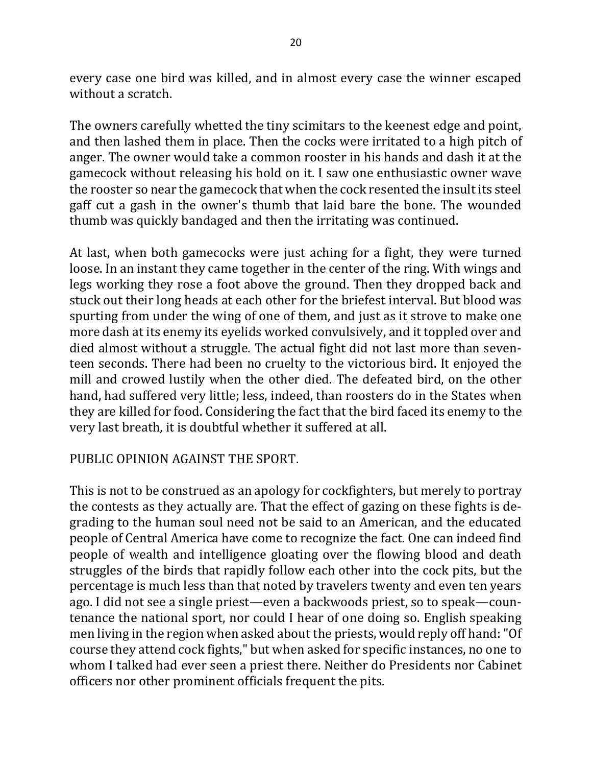every case one bird was killed, and in almost every case the winner escaped without a scratch.

The owners carefully whetted the tiny scimitars to the keenest edge and point, and then lashed them in place. Then the cocks were irritated to a high pitch of anger. The owner would take a common rooster in his hands and dash it at the gamecock without releasing his hold on it. I saw one enthusiastic owner wave the rooster so near the gamecock that when the cock resented the insult its steel gaff cut a gash in the owner's thumb that laid bare the bone. The wounded thumb was quickly bandaged and then the irritating was continued.

At last, when both gamecocks were just aching for a fight, they were turned loose. In an instant they came together in the center of the ring. With wings and legs working they rose a foot above the ground. Then they dropped back and stuck out their long heads at each other for the briefest interval. But blood was spurting from under the wing of one of them, and just as it strove to make one more dash at its enemy its eyelids worked convulsively, and it toppled over and died almost without a struggle. The actual fight did not last more than seventeen seconds. There had been no cruelty to the victorious bird. It enjoyed the mill and crowed lustily when the other died. The defeated bird, on the other hand, had suffered very little; less, indeed, than roosters do in the States when they are killed for food. Considering the fact that the bird faced its enemy to the very last breath, it is doubtful whether it suffered at all.

### PUBLIC OPINION AGAINST THE SPORT.

This is not to be construed as an apology for cockfighters, but merely to portray the contests as they actually are. That the effect of gazing on these fights is degrading to the human soul need not be said to an American, and the educated people of Central America have come to recognize the fact. One can indeed find people of wealth and intelligence gloating over the flowing blood and death struggles of the birds that rapidly follow each other into the cock pits, but the percentage is much less than that noted by travelers twenty and even ten years ago. I did not see a single priest—even a backwoods priest, so to speak—countenance the national sport, nor could I hear of one doing so. English speaking men living in the region when asked about the priests, would reply off hand: "Of course they attend cock fights," but when asked for specific instances, no one to whom I talked had ever seen a priest there. Neither do Presidents nor Cabinet officers nor other prominent officials frequent the pits.